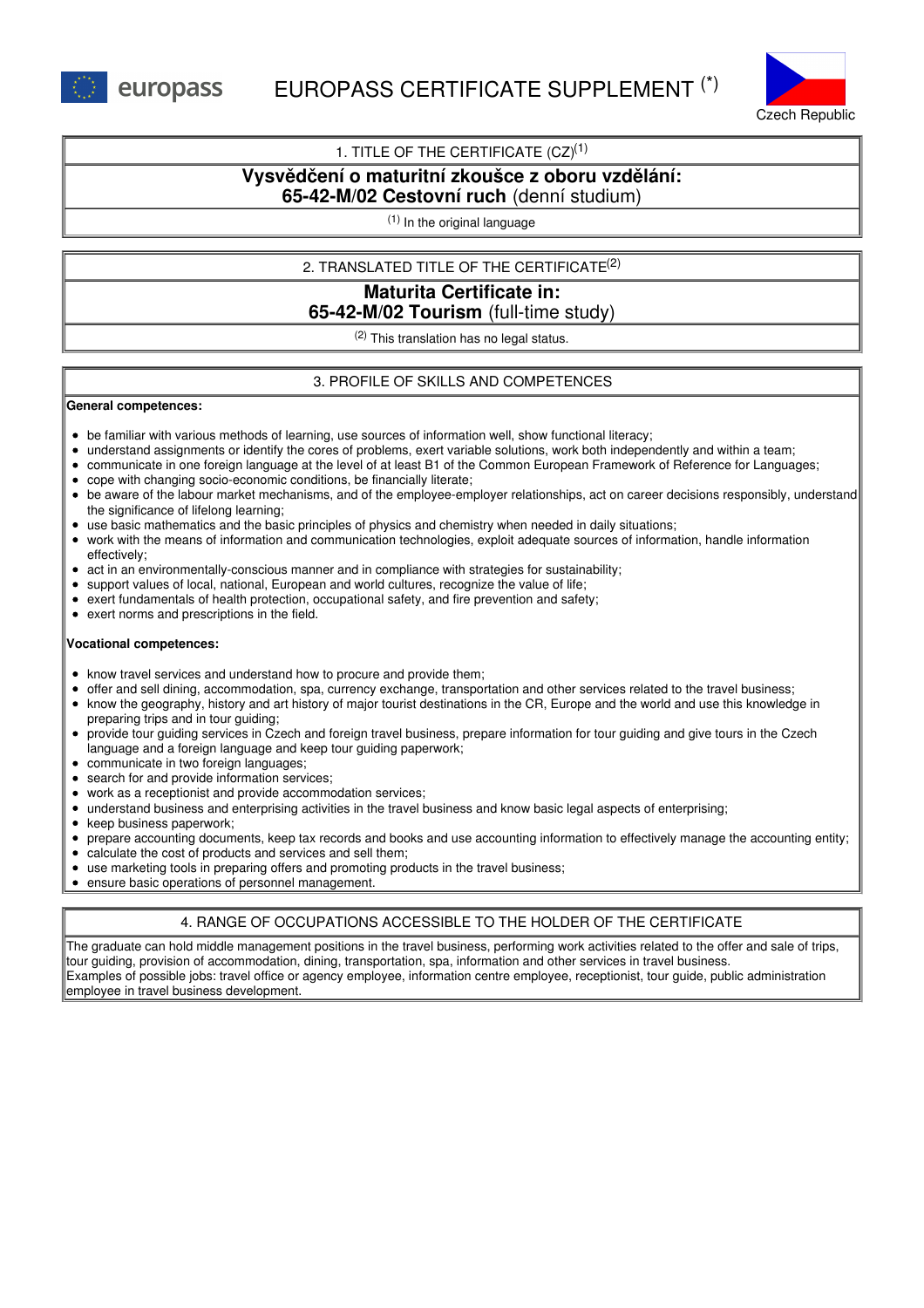



### 1. TITLE OF THE CERTIFICATE  $(CZ)^{(1)}$

# **Vysvědčení o maturitní zkoušce z oboru vzdělání:**

# **65-42-M/02 Cestovní ruch** (denní studium)

(1) In the original language

### 2. TRANSLATED TITLE OF THE CERTIFICATE (2)

# **Maturita Certificate in: 65-42-M/02 Tourism** (full-time study)

 $(2)$  This translation has no legal status.

### 3. PROFILE OF SKILLS AND COMPETENCES

#### **General competences:**

- be familiar with various methods of learning, use sources of information well, show functional literacy;
- understand assignments or identify the cores of problems, exert variable solutions, work both independently and within a team;
- communicate in one foreign language at the level of at least B1 of the Common European Framework of Reference for Languages;
- cope with changing socio-economic conditions, be financially literate;
- be aware of the labour market mechanisms, and of the employee-employer relationships, act on career decisions responsibly, understand the significance of lifelong learning;
- use basic mathematics and the basic principles of physics and chemistry when needed in daily situations;
- work with the means of information and communication technologies, exploit adequate sources of information, handle information effectively;
- $\bullet$ act in an environmentally-conscious manner and in compliance with strategies for sustainability;
- support values of local, national, European and world cultures, recognize the value of life;
- exert fundamentals of health protection, occupational safety, and fire prevention and safety;
- exert norms and prescriptions in the field.

#### **Vocational competences:**

- know travel services and understand how to procure and provide them;
- offer and sell dining, accommodation, spa, currency exchange, transportation and other services related to the travel business;
- know the geography, history and art history of major tourist destinations in the CR, Europe and the world and use this knowledge in preparing trips and in tour guiding;
- provide tour guiding services in Czech and foreign travel business, prepare information for tour guiding and give tours in the Czech language and a foreign language and keep tour guiding paperwork;
- communicate in two foreign languages:
- search for and provide information services;
- work as a receptionist and provide accommodation services;
- understand business and enterprising activities in the travel business and know basic legal aspects of enterprising;
- keep business paperwork;
- prepare accounting documents, keep tax records and books and use accounting information to effectively manage the accounting entity;
- calculate the cost of products and services and sell them;
- use marketing tools in preparing offers and promoting products in the travel business;
- ensure basic operations of personnel management.

## 4. RANGE OF OCCUPATIONS ACCESSIBLE TO THE HOLDER OF THE CERTIFICATE

The graduate can hold middle management positions in the travel business, performing work activities related to the offer and sale of trips, tour guiding, provision of accommodation, dining, transportation, spa, information and other services in travel business. Examples of possible jobs: travel office or agency employee, information centre employee, receptionist, tour guide, public administration employee in travel business development.